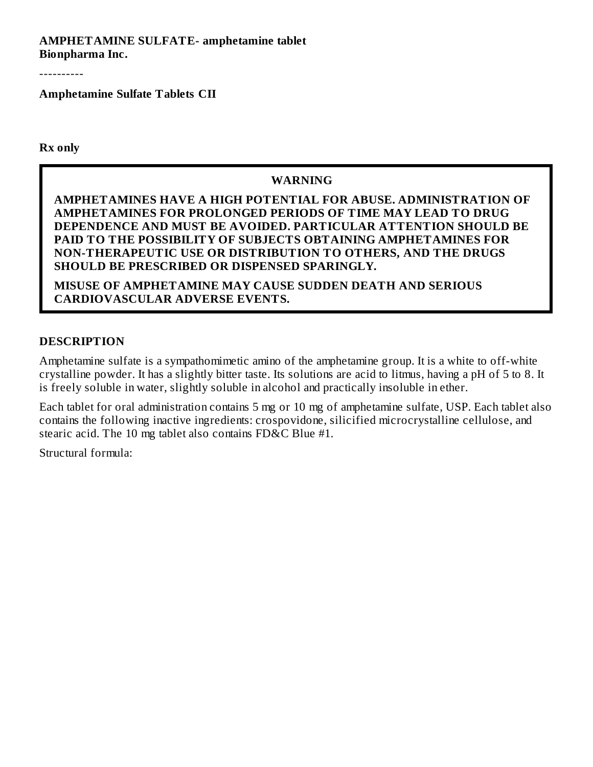**AMPHETAMINE SULFATE- amphetamine tablet Bionpharma Inc.**

----------

**Amphetamine Sulfate Tablets CII**

**Rx only**

#### **WARNING**

**AMPHETAMINES HAVE A HIGH POTENTIAL FOR ABUSE. ADMINISTRATION OF AMPHETAMINES FOR PROLONGED PERIODS OF TIME MAY LEAD TO DRUG DEPENDENCE AND MUST BE AVOIDED. PARTICULAR ATTENTION SHOULD BE PAID TO THE POSSIBILITY OF SUBJECTS OBTAINING AMPHETAMINES FOR NON-THERAPEUTIC USE OR DISTRIBUTION TO OTHERS, AND THE DRUGS SHOULD BE PRESCRIBED OR DISPENSED SPARINGLY.**

**MISUSE OF AMPHETAMINE MAY CAUSE SUDDEN DEATH AND SERIOUS CARDIOVASCULAR ADVERSE EVENTS.**

#### **DESCRIPTION**

Amphetamine sulfate is a sympathomimetic amino of the amphetamine group. It is a white to off-white crystalline powder. It has a slightly bitter taste. Its solutions are acid to litmus, having a pH of 5 to 8. It is freely soluble in water, slightly soluble in alcohol and practically insoluble in ether.

Each tablet for oral administration contains 5 mg or 10 mg of amphetamine sulfate, USP. Each tablet also contains the following inactive ingredients: crospovidone, silicified microcrystalline cellulose, and stearic acid. The 10 mg tablet also contains FD&C Blue #1.

Structural formula: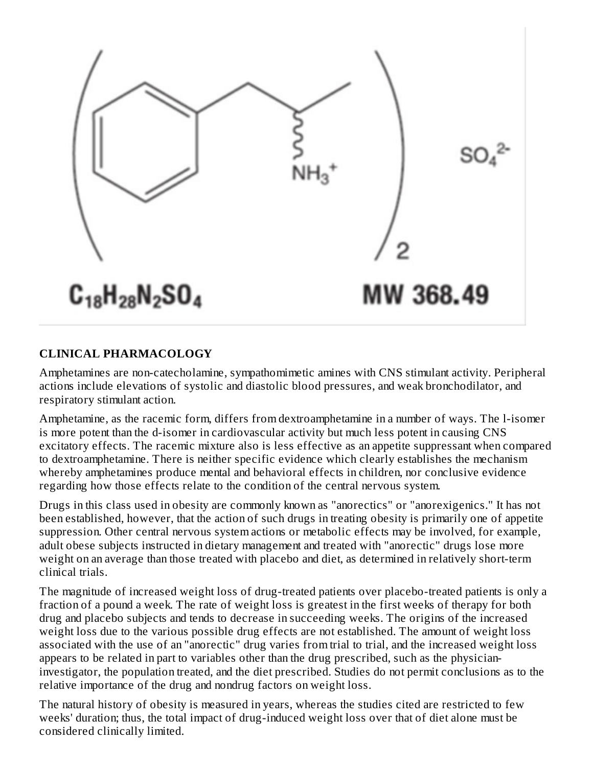

#### **CLINICAL PHARMACOLOGY**

Amphetamines are non-catecholamine, sympathomimetic amines with CNS stimulant activity. Peripheral actions include elevations of systolic and diastolic blood pressures, and weak bronchodilator, and respiratory stimulant action.

Amphetamine, as the racemic form, differs from dextroamphetamine in a number of ways. The l-isomer is more potent than the d-isomer in cardiovascular activity but much less potent in causing CNS excitatory effects. The racemic mixture also is less effective as an appetite suppressant when compared to dextroamphetamine. There is neither specific evidence which clearly establishes the mechanism whereby amphetamines produce mental and behavioral effects in children, nor conclusive evidence regarding how those effects relate to the condition of the central nervous system.

Drugs in this class used in obesity are commonly known as "anorectics" or "anorexigenics." It has not been established, however, that the action of such drugs in treating obesity is primarily one of appetite suppression. Other central nervous system actions or metabolic effects may be involved, for example, adult obese subjects instructed in dietary management and treated with "anorectic" drugs lose more weight on an average than those treated with placebo and diet, as determined in relatively short-term clinical trials.

The magnitude of increased weight loss of drug-treated patients over placebo-treated patients is only a fraction of a pound a week. The rate of weight loss is greatest in the first weeks of therapy for both drug and placebo subjects and tends to decrease in succeeding weeks. The origins of the increased weight loss due to the various possible drug effects are not established. The amount of weight loss associated with the use of an "anorectic" drug varies from trial to trial, and the increased weight loss appears to be related in part to variables other than the drug prescribed, such as the physicianinvestigator, the population treated, and the diet prescribed. Studies do not permit conclusions as to the relative importance of the drug and nondrug factors on weight loss.

The natural history of obesity is measured in years, whereas the studies cited are restricted to few weeks' duration; thus, the total impact of drug-induced weight loss over that of diet alone must be considered clinically limited.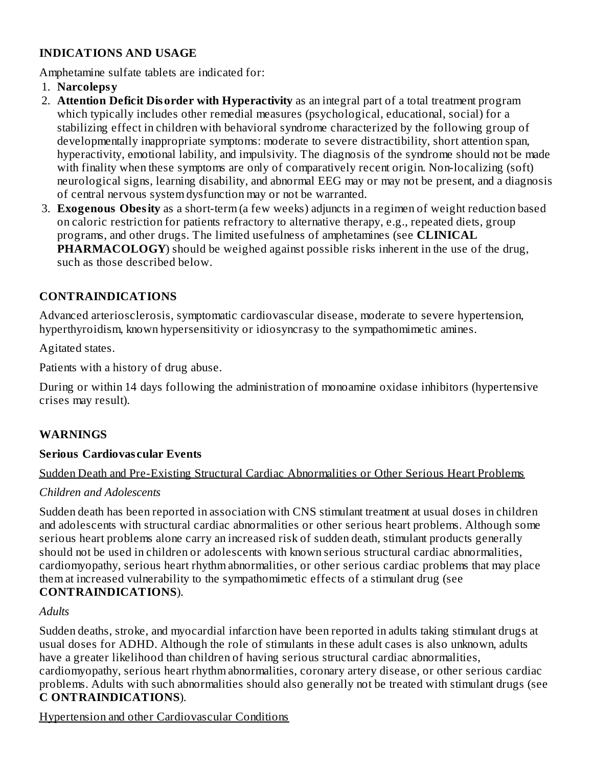## **INDICATIONS AND USAGE**

Amphetamine sulfate tablets are indicated for:

- 1. **Narcolepsy**
- 2. **Attention Deficit Disorder with Hyperactivity** as an integral part of a total treatment program which typically includes other remedial measures (psychological, educational, social) for a stabilizing effect in children with behavioral syndrome characterized by the following group of developmentally inappropriate symptoms: moderate to severe distractibility, short attention span, hyperactivity, emotional lability, and impulsivity. The diagnosis of the syndrome should not be made with finality when these symptoms are only of comparatively recent origin. Non-localizing (soft) neurological signs, learning disability, and abnormal EEG may or may not be present, and a diagnosis of central nervous system dysfunction may or not be warranted.
- 3. **Exogenous Obesity** as a short-term (a few weeks) adjuncts in a regimen of weight reduction based on caloric restriction for patients refractory to alternative therapy, e.g., repeated diets, group programs, and other drugs. The limited usefulness of amphetamines (see **CLINICAL PHARMACOLOGY**) should be weighed against possible risks inherent in the use of the drug, such as those described below.

## **CONTRAINDICATIONS**

Advanced arteriosclerosis, symptomatic cardiovascular disease, moderate to severe hypertension, hyperthyroidism, known hypersensitivity or idiosyncrasy to the sympathomimetic amines.

Agitated states.

Patients with a history of drug abuse.

During or within 14 days following the administration of monoamine oxidase inhibitors (hypertensive crises may result).

## **WARNINGS**

#### **Serious Cardiovas cular Events**

## Sudden Death and Pre-Existing Structural Cardiac Abnormalities or Other Serious Heart Problems

## *Children and Adolescents*

Sudden death has been reported in association with CNS stimulant treatment at usual doses in children and adolescents with structural cardiac abnormalities or other serious heart problems. Although some serious heart problems alone carry an increased risk of sudden death, stimulant products generally should not be used in children or adolescents with known serious structural cardiac abnormalities, cardiomyopathy, serious heart rhythm abnormalities, or other serious cardiac problems that may place them at increased vulnerability to the sympathomimetic effects of a stimulant drug (see **CONTRAINDICATIONS**).

#### *Adults*

Sudden deaths, stroke, and myocardial infarction have been reported in adults taking stimulant drugs at usual doses for ADHD. Although the role of stimulants in these adult cases is also unknown, adults have a greater likelihood than children of having serious structural cardiac abnormalities, cardiomyopathy, serious heart rhythm abnormalities, coronary artery disease, or other serious cardiac problems. Adults with such abnormalities should also generally not be treated with stimulant drugs (see **C ONTRAINDICATIONS**).

Hypertension and other Cardiovascular Conditions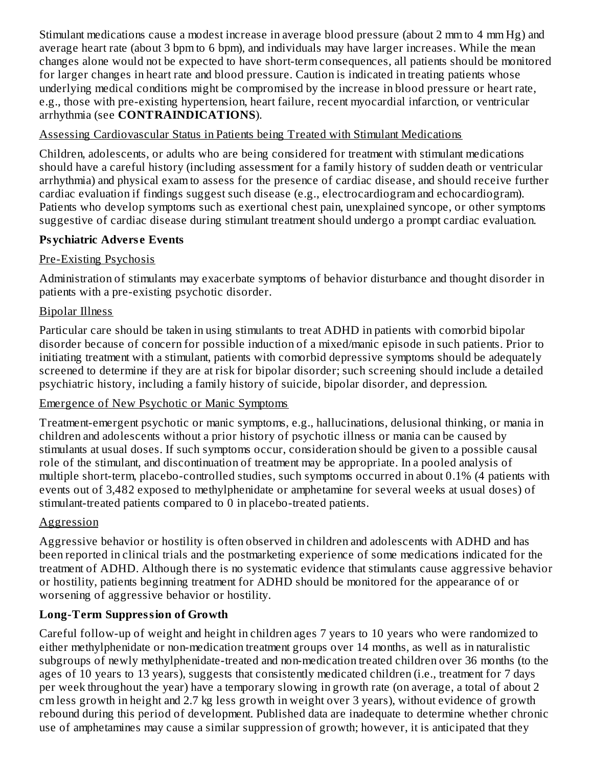Stimulant medications cause a modest increase in average blood pressure (about 2 mm to 4 mm Hg) and average heart rate (about 3 bpm to 6 bpm), and individuals may have larger increases. While the mean changes alone would not be expected to have short-term consequences, all patients should be monitored for larger changes in heart rate and blood pressure. Caution is indicated in treating patients whose underlying medical conditions might be compromised by the increase in blood pressure or heart rate, e.g., those with pre-existing hypertension, heart failure, recent myocardial infarction, or ventricular arrhythmia (see **CONTRAINDICATIONS**).

## Assessing Cardiovascular Status in Patients being Treated with Stimulant Medications

Children, adolescents, or adults who are being considered for treatment with stimulant medications should have a careful history (including assessment for a family history of sudden death or ventricular arrhythmia) and physical exam to assess for the presence of cardiac disease, and should receive further cardiac evaluation if findings suggest such disease (e.g., electrocardiogram and echocardiogram). Patients who develop symptoms such as exertional chest pain, unexplained syncope, or other symptoms suggestive of cardiac disease during stimulant treatment should undergo a prompt cardiac evaluation.

## **Psychiatric Advers e Events**

#### Pre-Existing Psychosis

Administration of stimulants may exacerbate symptoms of behavior disturbance and thought disorder in patients with a pre-existing psychotic disorder.

## Bipolar Illness

Particular care should be taken in using stimulants to treat ADHD in patients with comorbid bipolar disorder because of concern for possible induction of a mixed/manic episode in such patients. Prior to initiating treatment with a stimulant, patients with comorbid depressive symptoms should be adequately screened to determine if they are at risk for bipolar disorder; such screening should include a detailed psychiatric history, including a family history of suicide, bipolar disorder, and depression.

#### Emergence of New Psychotic or Manic Symptoms

Treatment-emergent psychotic or manic symptoms, e.g., hallucinations, delusional thinking, or mania in children and adolescents without a prior history of psychotic illness or mania can be caused by stimulants at usual doses. If such symptoms occur, consideration should be given to a possible causal role of the stimulant, and discontinuation of treatment may be appropriate. In a pooled analysis of multiple short-term, placebo-controlled studies, such symptoms occurred in about 0.1% (4 patients with events out of 3,482 exposed to methylphenidate or amphetamine for several weeks at usual doses) of stimulant-treated patients compared to 0 in placebo-treated patients.

## Aggression

Aggressive behavior or hostility is often observed in children and adolescents with ADHD and has been reported in clinical trials and the postmarketing experience of some medications indicated for the treatment of ADHD. Although there is no systematic evidence that stimulants cause aggressive behavior or hostility, patients beginning treatment for ADHD should be monitored for the appearance of or worsening of aggressive behavior or hostility.

## **Long-Term Suppression of Growth**

Careful follow-up of weight and height in children ages 7 years to 10 years who were randomized to either methylphenidate or non-medication treatment groups over 14 months, as well as in naturalistic subgroups of newly methylphenidate-treated and non-medication treated children over 36 months (to the ages of 10 years to 13 years), suggests that consistently medicated children (i.e., treatment for 7 days per week throughout the year) have a temporary slowing in growth rate (on average, a total of about 2 cm less growth in height and 2.7 kg less growth in weight over 3 years), without evidence of growth rebound during this period of development. Published data are inadequate to determine whether chronic use of amphetamines may cause a similar suppression of growth; however, it is anticipated that they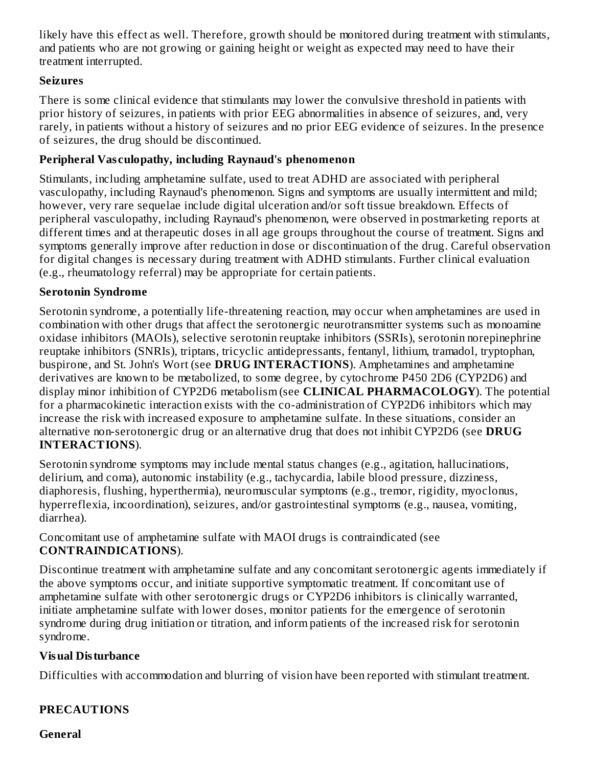likely have this effect as well. Therefore, growth should be monitored during treatment with stimulants, and patients who are not growing or gaining height or weight as expected may need to have their treatment interrupted.

## **Seizures**

There is some clinical evidence that stimulants may lower the convulsive threshold in patients with prior history of seizures, in patients with prior EEG abnormalities in absence of seizures, and, very rarely, in patients without a history of seizures and no prior EEG evidence of seizures. In the presence of seizures, the drug should be discontinued.

## **Peripheral Vas culopathy, including Raynaud's phenomenon**

Stimulants, including amphetamine sulfate, used to treat ADHD are associated with peripheral vasculopathy, including Raynaud's phenomenon. Signs and symptoms are usually intermittent and mild; however, very rare sequelae include digital ulceration and/or soft tissue breakdown. Effects of peripheral vasculopathy, including Raynaud's phenomenon, were observed in postmarketing reports at different times and at therapeutic doses in all age groups throughout the course of treatment. Signs and symptoms generally improve after reduction in dose or discontinuation of the drug. Careful observation for digital changes is necessary during treatment with ADHD stimulants. Further clinical evaluation (e.g., rheumatology referral) may be appropriate for certain patients.

## **Serotonin Syndrome**

Serotonin syndrome, a potentially life-threatening reaction, may occur when amphetamines are used in combination with other drugs that affect the serotonergic neurotransmitter systems such as monoamine oxidase inhibitors (MAOIs), selective serotonin reuptake inhibitors (SSRIs), serotonin norepinephrine reuptake inhibitors (SNRIs), triptans, tricyclic antidepressants, fentanyl, lithium, tramadol, tryptophan, buspirone, and St. John's Wort (see **DRUG INTERACTIONS**). Amphetamines and amphetamine derivatives are known to be metabolized, to some degree, by cytochrome P450 2D6 (CYP2D6) and display minor inhibition of CYP2D6 metabolism (see **CLINICAL PHARMACOLOGY**). The potential for a pharmacokinetic interaction exists with the co-administration of CYP2D6 inhibitors which may increase the risk with increased exposure to amphetamine sulfate. In these situations, consider an alternative non-serotonergic drug or an alternative drug that does not inhibit CYP2D6 (see **DRUG INTERACTIONS**).

Serotonin syndrome symptoms may include mental status changes (e.g., agitation, hallucinations, delirium, and coma), autonomic instability (e.g., tachycardia, labile blood pressure, dizziness, diaphoresis, flushing, hyperthermia), neuromuscular symptoms (e.g., tremor, rigidity, myoclonus, hyperreflexia, incoordination), seizures, and/or gastrointestinal symptoms (e.g., nausea, vomiting, diarrhea).

Concomitant use of amphetamine sulfate with MAOI drugs is contraindicated (see **CONTRAINDICATIONS**).

Discontinue treatment with amphetamine sulfate and any concomitant serotonergic agents immediately if the above symptoms occur, and initiate supportive symptomatic treatment. If concomitant use of amphetamine sulfate with other serotonergic drugs or CYP2D6 inhibitors is clinically warranted, initiate amphetamine sulfate with lower doses, monitor patients for the emergence of serotonin syndrome during drug initiation or titration, and inform patients of the increased risk for serotonin syndrome.

#### **Visual Disturbance**

Difficulties with accommodation and blurring of vision have been reported with stimulant treatment.

## **PRECAUTIONS**

**General**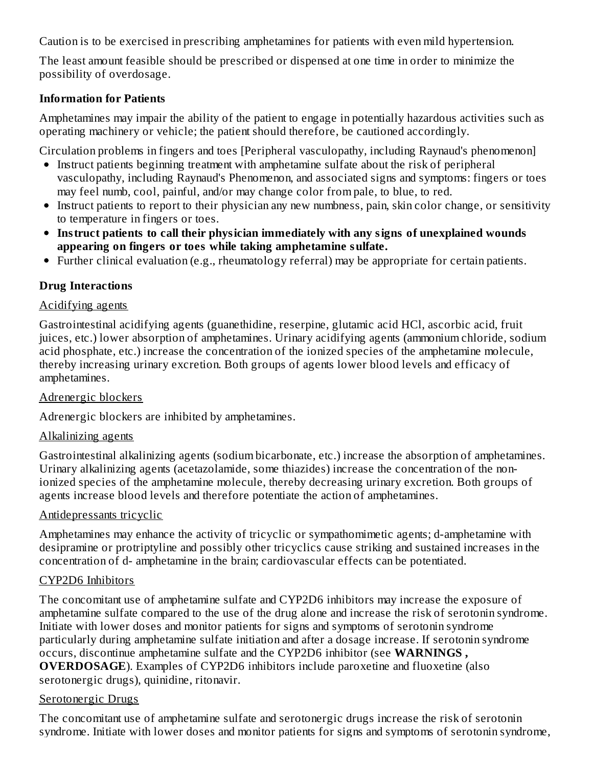Caution is to be exercised in prescribing amphetamines for patients with even mild hypertension.

The least amount feasible should be prescribed or dispensed at one time in order to minimize the possibility of overdosage.

#### **Information for Patients**

Amphetamines may impair the ability of the patient to engage in potentially hazardous activities such as operating machinery or vehicle; the patient should therefore, be cautioned accordingly.

Circulation problems in fingers and toes [Peripheral vasculopathy, including Raynaud's phenomenon]

- Instruct patients beginning treatment with amphetamine sulfate about the risk of peripheral vasculopathy, including Raynaud's Phenomenon, and associated signs and symptoms: fingers or toes may feel numb, cool, painful, and/or may change color from pale, to blue, to red.
- Instruct patients to report to their physician any new numbness, pain, skin color change, or sensitivity to temperature in fingers or toes.
- **Instruct patients to call their physician immediately with any signs of unexplained wounds appearing on fingers or toes while taking amphetamine sulfate.**
- Further clinical evaluation (e.g., rheumatology referral) may be appropriate for certain patients.

#### **Drug Interactions**

#### Acidifying agents

Gastrointestinal acidifying agents (guanethidine, reserpine, glutamic acid HCl, ascorbic acid, fruit juices, etc.) lower absorption of amphetamines. Urinary acidifying agents (ammonium chloride, sodium acid phosphate, etc.) increase the concentration of the ionized species of the amphetamine molecule, thereby increasing urinary excretion. Both groups of agents lower blood levels and efficacy of amphetamines.

#### Adrenergic blockers

Adrenergic blockers are inhibited by amphetamines.

#### Alkalinizing agents

Gastrointestinal alkalinizing agents (sodium bicarbonate, etc.) increase the absorption of amphetamines. Urinary alkalinizing agents (acetazolamide, some thiazides) increase the concentration of the nonionized species of the amphetamine molecule, thereby decreasing urinary excretion. Both groups of agents increase blood levels and therefore potentiate the action of amphetamines.

#### Antidepressants tricyclic

Amphetamines may enhance the activity of tricyclic or sympathomimetic agents; d-amphetamine with desipramine or protriptyline and possibly other tricyclics cause striking and sustained increases in the concentration of d- amphetamine in the brain; cardiovascular effects can be potentiated.

#### CYP2D6 Inhibitors

The concomitant use of amphetamine sulfate and CYP2D6 inhibitors may increase the exposure of amphetamine sulfate compared to the use of the drug alone and increase the risk of serotonin syndrome. Initiate with lower doses and monitor patients for signs and symptoms of serotonin syndrome particularly during amphetamine sulfate initiation and after a dosage increase. If serotonin syndrome occurs, discontinue amphetamine sulfate and the CYP2D6 inhibitor (see **WARNINGS , OVERDOSAGE**). Examples of CYP2D6 inhibitors include paroxetine and fluoxetine (also serotonergic drugs), quinidine, ritonavir.

#### Serotonergic Drugs

The concomitant use of amphetamine sulfate and serotonergic drugs increase the risk of serotonin syndrome. Initiate with lower doses and monitor patients for signs and symptoms of serotonin syndrome,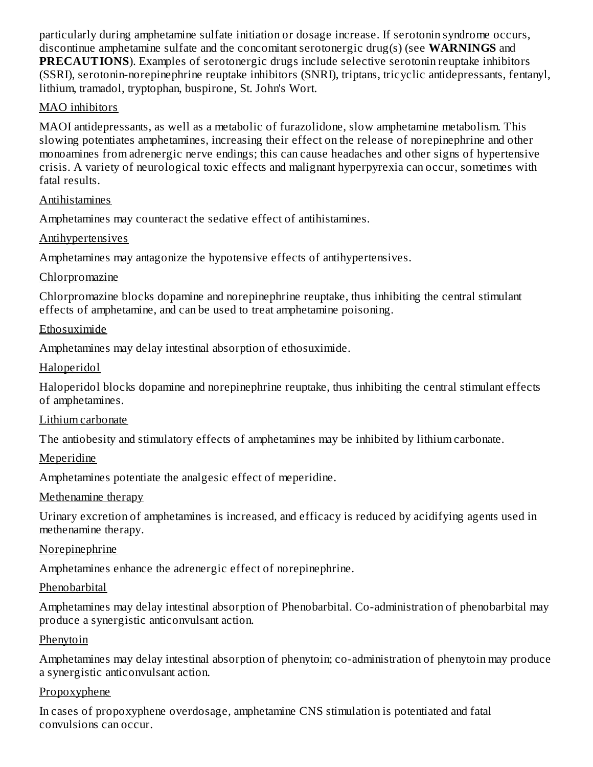particularly during amphetamine sulfate initiation or dosage increase. If serotonin syndrome occurs, discontinue amphetamine sulfate and the concomitant serotonergic drug(s) (see **WARNINGS** and **PRECAUTIONS**). Examples of serotonergic drugs include selective serotonin reuptake inhibitors (SSRI), serotonin-norepinephrine reuptake inhibitors (SNRI), triptans, tricyclic antidepressants, fentanyl, lithium, tramadol, tryptophan, buspirone, St. John's Wort.

#### MAO inhibitors

MAOI antidepressants, as well as a metabolic of furazolidone, slow amphetamine metabolism. This slowing potentiates amphetamines, increasing their effect on the release of norepinephrine and other monoamines from adrenergic nerve endings; this can cause headaches and other signs of hypertensive crisis. A variety of neurological toxic effects and malignant hyperpyrexia can occur, sometimes with fatal results.

#### Antihistamines

Amphetamines may counteract the sedative effect of antihistamines.

#### Antihypertensives

Amphetamines may antagonize the hypotensive effects of antihypertensives.

#### Chlorpromazine

Chlorpromazine blocks dopamine and norepinephrine reuptake, thus inhibiting the central stimulant effects of amphetamine, and can be used to treat amphetamine poisoning.

#### Ethosuximide

Amphetamines may delay intestinal absorption of ethosuximide.

#### Haloperidol

Haloperidol blocks dopamine and norepinephrine reuptake, thus inhibiting the central stimulant effects of amphetamines.

#### Lithium carbonate

The antiobesity and stimulatory effects of amphetamines may be inhibited by lithium carbonate.

#### Meperidine

Amphetamines potentiate the analgesic effect of meperidine.

#### Methenamine therapy

Urinary excretion of amphetamines is increased, and efficacy is reduced by acidifying agents used in methenamine therapy.

#### Norepinephrine

Amphetamines enhance the adrenergic effect of norepinephrine.

#### Phenobarbital

Amphetamines may delay intestinal absorption of Phenobarbital. Co-administration of phenobarbital may produce a synergistic anticonvulsant action.

#### Phenytoin

Amphetamines may delay intestinal absorption of phenytoin; co-administration of phenytoin may produce a synergistic anticonvulsant action.

#### Propoxyphene

In cases of propoxyphene overdosage, amphetamine CNS stimulation is potentiated and fatal convulsions can occur.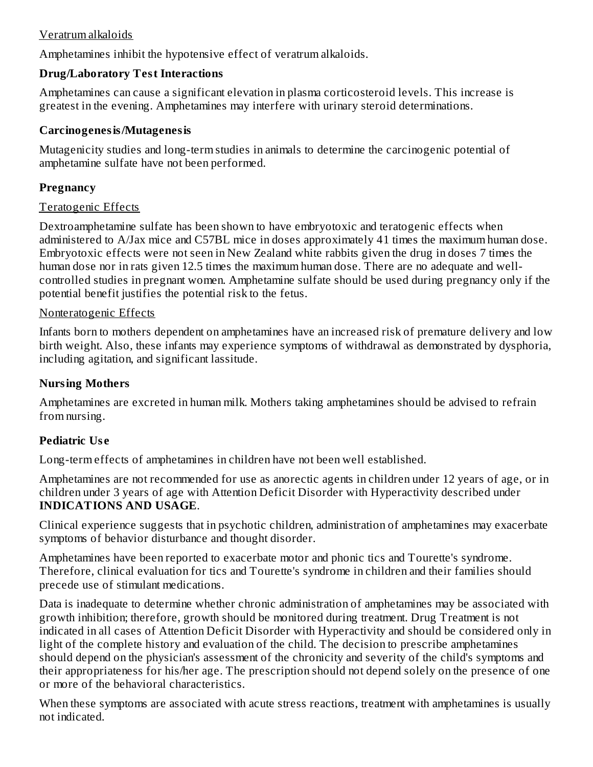#### Veratrum alkaloids

Amphetamines inhibit the hypotensive effect of veratrum alkaloids.

#### **Drug/Laboratory Test Interactions**

Amphetamines can cause a significant elevation in plasma corticosteroid levels. This increase is greatest in the evening. Amphetamines may interfere with urinary steroid determinations.

#### **Carcinogenesis/Mutagenesis**

Mutagenicity studies and long-term studies in animals to determine the carcinogenic potential of amphetamine sulfate have not been performed.

#### **Pregnancy**

#### Teratogenic Effects

Dextroamphetamine sulfate has been shown to have embryotoxic and teratogenic effects when administered to A/Jax mice and C57BL mice in doses approximately 41 times the maximum human dose. Embryotoxic effects were not seen in New Zealand white rabbits given the drug in doses 7 times the human dose nor in rats given 12.5 times the maximum human dose. There are no adequate and wellcontrolled studies in pregnant women. Amphetamine sulfate should be used during pregnancy only if the potential benefit justifies the potential risk to the fetus.

#### Nonteratogenic Effects

Infants born to mothers dependent on amphetamines have an increased risk of premature delivery and low birth weight. Also, these infants may experience symptoms of withdrawal as demonstrated by dysphoria, including agitation, and significant lassitude.

#### **Nursing Mothers**

Amphetamines are excreted in human milk. Mothers taking amphetamines should be advised to refrain from nursing.

#### **Pediatric Us e**

Long-term effects of amphetamines in children have not been well established.

Amphetamines are not recommended for use as anorectic agents in children under 12 years of age, or in children under 3 years of age with Attention Deficit Disorder with Hyperactivity described under **INDICATIONS AND USAGE**.

Clinical experience suggests that in psychotic children, administration of amphetamines may exacerbate symptoms of behavior disturbance and thought disorder.

Amphetamines have been reported to exacerbate motor and phonic tics and Tourette's syndrome. Therefore, clinical evaluation for tics and Tourette's syndrome in children and their families should precede use of stimulant medications.

Data is inadequate to determine whether chronic administration of amphetamines may be associated with growth inhibition; therefore, growth should be monitored during treatment. Drug Treatment is not indicated in all cases of Attention Deficit Disorder with Hyperactivity and should be considered only in light of the complete history and evaluation of the child. The decision to prescribe amphetamines should depend on the physician's assessment of the chronicity and severity of the child's symptoms and their appropriateness for his/her age. The prescription should not depend solely on the presence of one or more of the behavioral characteristics.

When these symptoms are associated with acute stress reactions, treatment with amphetamines is usually not indicated.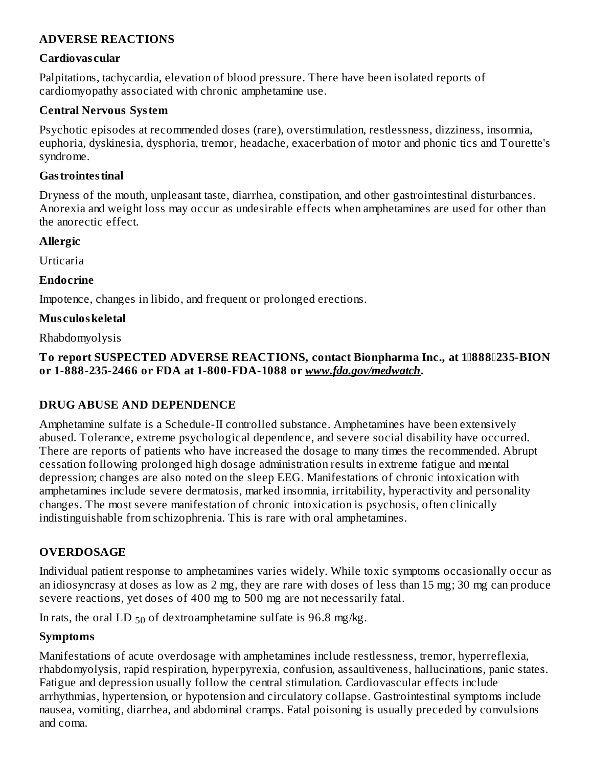#### **ADVERSE REACTIONS**

#### **Cardiovas cular**

Palpitations, tachycardia, elevation of blood pressure. There have been isolated reports of cardiomyopathy associated with chronic amphetamine use.

#### **Central Nervous System**

Psychotic episodes at recommended doses (rare), overstimulation, restlessness, dizziness, insomnia, euphoria, dyskinesia, dysphoria, tremor, headache, exacerbation of motor and phonic tics and Tourette's syndrome.

#### **Gastrointestinal**

Dryness of the mouth, unpleasant taste, diarrhea, constipation, and other gastrointestinal disturbances. Anorexia and weight loss may occur as undesirable effects when amphetamines are used for other than the anorectic effect.

#### **Allergic**

Urticaria

#### **Endocrine**

Impotence, changes in libido, and frequent or prolonged erections.

#### **Mus culoskeletal**

Rhabdomyolysis

**To report SUSPECTED ADVERSE REACTIONS, contact Bionpharma Inc., at 1888235-BION or 1-888-235-2466 or FDA at 1-800-FDA-1088 or** *www.fda.gov/medwatch***.**

#### **DRUG ABUSE AND DEPENDENCE**

Amphetamine sulfate is a Schedule-II controlled substance. Amphetamines have been extensively abused. Tolerance, extreme psychological dependence, and severe social disability have occurred. There are reports of patients who have increased the dosage to many times the recommended. Abrupt cessation following prolonged high dosage administration results in extreme fatigue and mental depression; changes are also noted on the sleep EEG. Manifestations of chronic intoxication with amphetamines include severe dermatosis, marked insomnia, irritability, hyperactivity and personality changes. The most severe manifestation of chronic intoxication is psychosis, often clinically indistinguishable from schizophrenia. This is rare with oral amphetamines.

#### **OVERDOSAGE**

Individual patient response to amphetamines varies widely. While toxic symptoms occasionally occur as an idiosyncrasy at doses as low as 2 mg, they are rare with doses of less than 15 mg; 30 mg can produce severe reactions, yet doses of 400 mg to 500 mg are not necessarily fatal.

In rats, the oral LD  $_{50}$  of dextroamphetamine sulfate is 96.8 mg/kg.

#### **Symptoms**

Manifestations of acute overdosage with amphetamines include restlessness, tremor, hyperreflexia, rhabdomyolysis, rapid respiration, hyperpyrexia, confusion, assaultiveness, hallucinations, panic states. Fatigue and depression usually follow the central stimulation. Cardiovascular effects include arrhythmias, hypertension, or hypotension and circulatory collapse. Gastrointestinal symptoms include nausea, vomiting, diarrhea, and abdominal cramps. Fatal poisoning is usually preceded by convulsions and coma.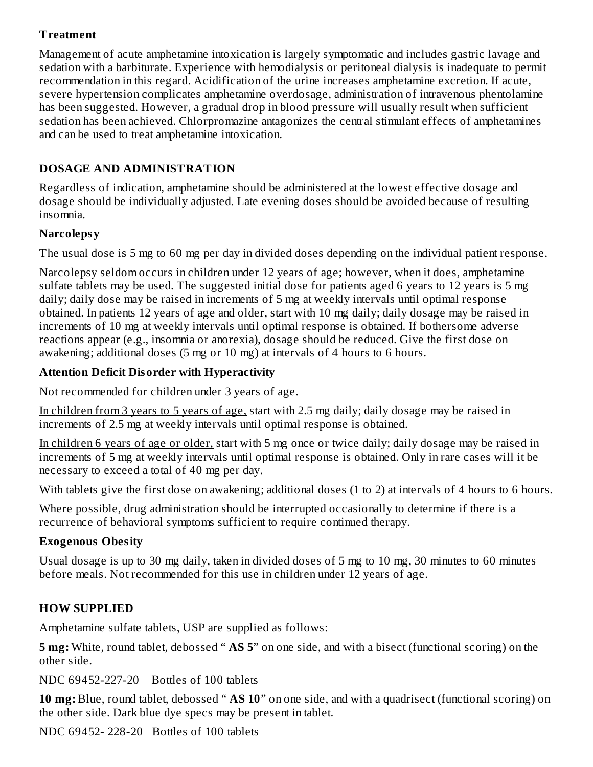## **Treatment**

Management of acute amphetamine intoxication is largely symptomatic and includes gastric lavage and sedation with a barbiturate. Experience with hemodialysis or peritoneal dialysis is inadequate to permit recommendation in this regard. Acidification of the urine increases amphetamine excretion. If acute, severe hypertension complicates amphetamine overdosage, administration of intravenous phentolamine has been suggested. However, a gradual drop in blood pressure will usually result when sufficient sedation has been achieved. Chlorpromazine antagonizes the central stimulant effects of amphetamines and can be used to treat amphetamine intoxication.

## **DOSAGE AND ADMINISTRATION**

Regardless of indication, amphetamine should be administered at the lowest effective dosage and dosage should be individually adjusted. Late evening doses should be avoided because of resulting insomnia.

#### **Narcolepsy**

The usual dose is 5 mg to 60 mg per day in divided doses depending on the individual patient response.

Narcolepsy seldom occurs in children under 12 years of age; however, when it does, amphetamine sulfate tablets may be used. The suggested initial dose for patients aged 6 years to 12 years is 5 mg daily; daily dose may be raised in increments of 5 mg at weekly intervals until optimal response obtained. In patients 12 years of age and older, start with 10 mg daily; daily dosage may be raised in increments of 10 mg at weekly intervals until optimal response is obtained. If bothersome adverse reactions appear (e.g., insomnia or anorexia), dosage should be reduced. Give the first dose on awakening; additional doses (5 mg or 10 mg) at intervals of 4 hours to 6 hours.

#### **Attention Deficit Disorder with Hyperactivity**

Not recommended for children under 3 years of age.

In children from 3 years to 5 years of age, start with 2.5 mg daily; daily dosage may be raised in increments of 2.5 mg at weekly intervals until optimal response is obtained.

In children 6 years of age or older, start with 5 mg once or twice daily; daily dosage may be raised in increments of 5 mg at weekly intervals until optimal response is obtained. Only in rare cases will it be necessary to exceed a total of 40 mg per day.

With tablets give the first dose on awakening; additional doses (1 to 2) at intervals of 4 hours to 6 hours.

Where possible, drug administration should be interrupted occasionally to determine if there is a recurrence of behavioral symptoms sufficient to require continued therapy.

#### **Exogenous Obesity**

Usual dosage is up to 30 mg daily, taken in divided doses of 5 mg to 10 mg, 30 minutes to 60 minutes before meals. Not recommended for this use in children under 12 years of age.

#### **HOW SUPPLIED**

Amphetamine sulfate tablets, USP are supplied as follows:

**5 mg:** White, round tablet, debossed " **AS 5**" on one side, and with a bisect (functional scoring) on the other side.

NDC 69452-227-20 Bottles of 100 tablets

**10 mg:** Blue, round tablet, debossed " **AS 10**" on one side, and with a quadrisect (functional scoring) on the other side. Dark blue dye specs may be present in tablet.

NDC 69452- 228-20 Bottles of 100 tablets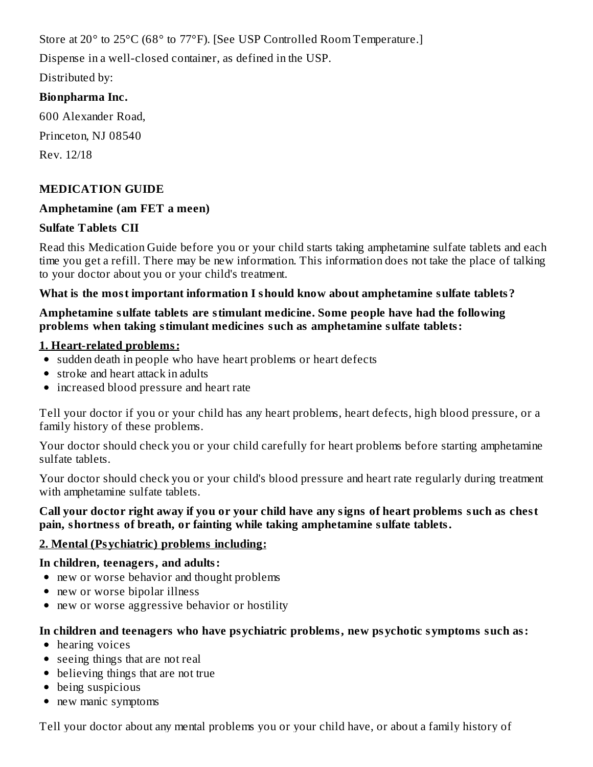Store at 20° to 25°C (68° to 77°F). [See USP Controlled Room Temperature.]

Dispense in a well-closed container, as defined in the USP.

Distributed by:

## **Bionpharma Inc.**

600 Alexander Road, Princeton, NJ 08540 Rev. 12/18

## **MEDICATION GUIDE**

## **Amphetamine (am FET a meen)**

## **Sulfate Tablets CII**

Read this Medication Guide before you or your child starts taking amphetamine sulfate tablets and each time you get a refill. There may be new information. This information does not take the place of talking to your doctor about you or your child's treatment.

**What is the most important information I should know about amphetamine sulfate tablets?**

#### **Amphetamine sulfate tablets are stimulant medicine. Some people have had the following problems when taking stimulant medicines such as amphetamine sulfate tablets:**

## **1. Heart-related problems:**

- sudden death in people who have heart problems or heart defects
- stroke and heart attack in adults
- increased blood pressure and heart rate

Tell your doctor if you or your child has any heart problems, heart defects, high blood pressure, or a family history of these problems.

Your doctor should check you or your child carefully for heart problems before starting amphetamine sulfate tablets.

Your doctor should check you or your child's blood pressure and heart rate regularly during treatment with amphetamine sulfate tablets.

#### Call your doctor right away if you or your child have any signs of heart problems such as chest **pain, shortness of breath, or fainting while taking amphetamine sulfate tablets.**

## **2. Mental (Psychiatric) problems including:**

#### **In children, teenagers, and adults:**

- new or worse behavior and thought problems
- new or worse bipolar illness
- new or worse aggressive behavior or hostility

## **In children and teenagers who have psychiatric problems, new psychotic symptoms such as:**

- hearing voices
- seeing things that are not real
- believing things that are not true
- being suspicious
- new manic symptoms

Tell your doctor about any mental problems you or your child have, or about a family history of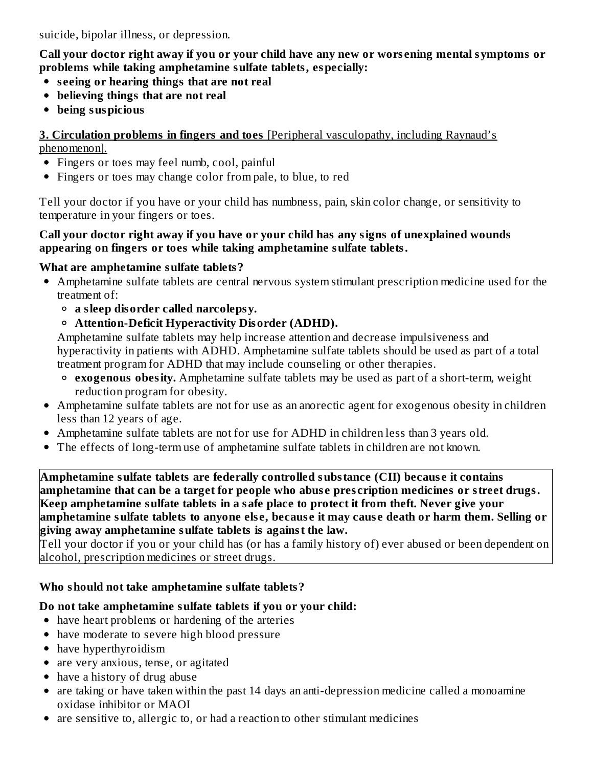#### suicide, bipolar illness, or depression.

Call your doctor right away if you or your child have any new or worsening mental symptoms or **problems while taking amphetamine sulfate tablets, especially:**

- **s eeing or hearing things that are not real**
- **believing things that are not real**
- **being suspicious**

**3. Circulation problems in fingers and toes** [Peripheral vasculopathy, including Raynaud's phenomenon].

- Fingers or toes may feel numb, cool, painful
- Fingers or toes may change color from pale, to blue, to red

Tell your doctor if you have or your child has numbness, pain, skin color change, or sensitivity to temperature in your fingers or toes.

#### **Call your doctor right away if you have or your child has any signs of unexplained wounds appearing on fingers or toes while taking amphetamine sulfate tablets.**

## **What are amphetamine sulfate tablets?**

- Amphetamine sulfate tablets are central nervous system stimulant prescription medicine used for the treatment of:
	- **a sleep disorder called narcolepsy.**
	- **Attention-Deficit Hyperactivity Disorder (ADHD).**

Amphetamine sulfate tablets may help increase attention and decrease impulsiveness and hyperactivity in patients with ADHD. Amphetamine sulfate tablets should be used as part of a total treatment program for ADHD that may include counseling or other therapies.

- **exogenous obesity.** Amphetamine sulfate tablets may be used as part of a short-term, weight reduction program for obesity.
- Amphetamine sulfate tablets are not for use as an anorectic agent for exogenous obesity in children less than 12 years of age.
- Amphetamine sulfate tablets are not for use for ADHD in children less than 3 years old.
- The effects of long-term use of amphetamine sulfate tablets in children are not known.

**Amphetamine sulfate tablets are federally controlled substance (CII) becaus e it contains amphetamine that can be a target for people who abus e pres cription medicines or street drugs. Keep amphetamine sulfate tablets in a safe place to protect it from theft. Never give your** amphetamine sulfate tablets to anyone else, because it may cause death or harm them. Selling or **giving away amphetamine sulfate tablets is against the law.**

Tell your doctor if you or your child has (or has a family history of) ever abused or been dependent on alcohol, prescription medicines or street drugs.

## **Who should not take amphetamine sulfate tablets?**

## **Do not take amphetamine sulfate tablets if you or your child:**

- have heart problems or hardening of the arteries
- have moderate to severe high blood pressure
- have hyperthyroidism
- are very anxious, tense, or agitated
- have a history of drug abuse
- are taking or have taken within the past 14 days an anti-depression medicine called a monoamine oxidase inhibitor or MAOI
- are sensitive to, allergic to, or had a reaction to other stimulant medicines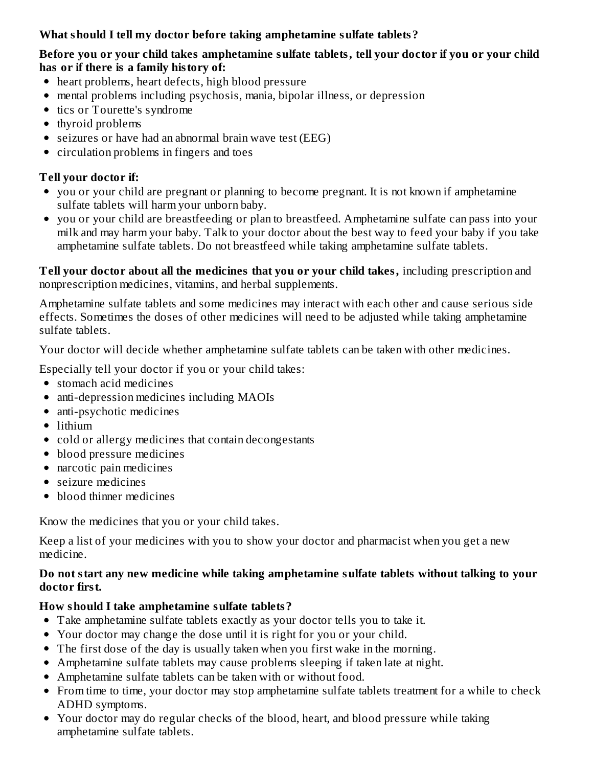## **What should I tell my doctor before taking amphetamine sulfate tablets?**

#### **Before you or your child takes amphetamine sulfate tablets, tell your doctor if you or your child has or if there is a family history of:**

- heart problems, heart defects, high blood pressure
- mental problems including psychosis, mania, bipolar illness, or depression
- tics or Tourette's syndrome
- thyroid problems
- seizures or have had an abnormal brain wave test (EEG)
- circulation problems in fingers and toes

## **Tell your doctor if:**

- you or your child are pregnant or planning to become pregnant. It is not known if amphetamine sulfate tablets will harm your unborn baby.
- you or your child are breastfeeding or plan to breastfeed. Amphetamine sulfate can pass into your milk and may harm your baby. Talk to your doctor about the best way to feed your baby if you take amphetamine sulfate tablets. Do not breastfeed while taking amphetamine sulfate tablets.

**Tell your doctor about all the medicines that you or your child takes,** including prescription and nonprescription medicines, vitamins, and herbal supplements.

Amphetamine sulfate tablets and some medicines may interact with each other and cause serious side effects. Sometimes the doses of other medicines will need to be adjusted while taking amphetamine sulfate tablets.

Your doctor will decide whether amphetamine sulfate tablets can be taken with other medicines.

Especially tell your doctor if you or your child takes:

- stomach acid medicines
- anti-depression medicines including MAOIs
- anti-psychotic medicines
- lithium
- cold or allergy medicines that contain decongestants
- blood pressure medicines
- narcotic pain medicines
- seizure medicines
- blood thinner medicines

Know the medicines that you or your child takes.

Keep a list of your medicines with you to show your doctor and pharmacist when you get a new medicine.

#### **Do not start any new medicine while taking amphetamine sulfate tablets without talking to your doctor first.**

## **How should I take amphetamine sulfate tablets?**

- Take amphetamine sulfate tablets exactly as your doctor tells you to take it.
- Your doctor may change the dose until it is right for you or your child.
- The first dose of the day is usually taken when you first wake in the morning.
- Amphetamine sulfate tablets may cause problems sleeping if taken late at night.
- Amphetamine sulfate tablets can be taken with or without food.
- From time to time, your doctor may stop amphetamine sulfate tablets treatment for a while to check ADHD symptoms.
- Your doctor may do regular checks of the blood, heart, and blood pressure while taking amphetamine sulfate tablets.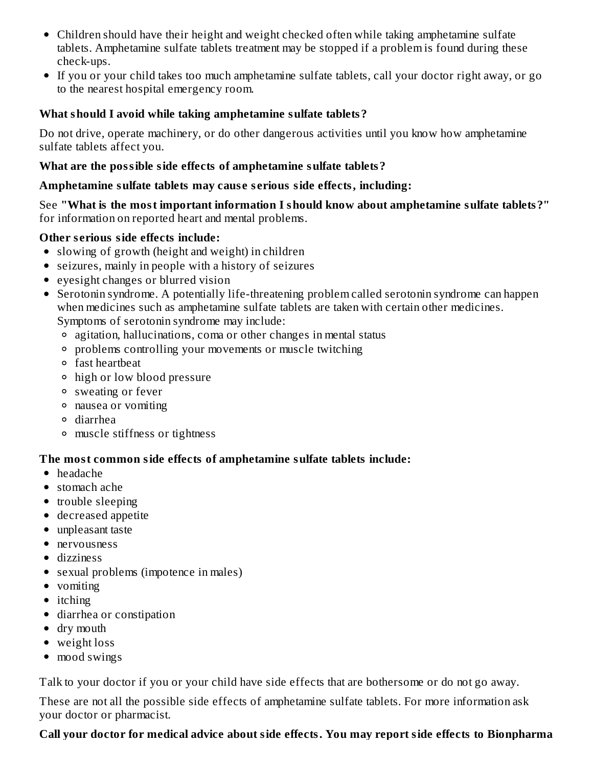- Children should have their height and weight checked often while taking amphetamine sulfate tablets. Amphetamine sulfate tablets treatment may be stopped if a problem is found during these check-ups.
- If you or your child takes too much amphetamine sulfate tablets, call your doctor right away, or go to the nearest hospital emergency room.

## **What should I avoid while taking amphetamine sulfate tablets?**

Do not drive, operate machinery, or do other dangerous activities until you know how amphetamine sulfate tablets affect you.

#### **What are the possible side effects of amphetamine sulfate tablets?**

#### **Amphetamine sulfate tablets may caus e s erious side effects, including:**

See **"What is the most important information I should know about amphetamine sulfate tablets?"** for information on reported heart and mental problems.

#### **Other s erious side effects include:**

- slowing of growth (height and weight) in children
- seizures, mainly in people with a history of seizures
- eyesight changes or blurred vision
- Serotonin syndrome. A potentially life-threatening problem called serotonin syndrome can happen when medicines such as amphetamine sulfate tablets are taken with certain other medicines. Symptoms of serotonin syndrome may include:
	- agitation, hallucinations, coma or other changes in mental status
	- problems controlling your movements or muscle twitching
	- fast heartbeat
	- high or low blood pressure
	- sweating or fever
	- nausea or vomiting
	- diarrhea
	- muscle stiffness or tightness

#### **The most common side effects of amphetamine sulfate tablets include:**

- headache
- stomach ache
- trouble sleeping
- decreased appetite
- unpleasant taste
- nervousness
- dizziness
- sexual problems (impotence in males)
- vomiting
- itching
- diarrhea or constipation
- dry mouth
- weight loss
- mood swings

Talk to your doctor if you or your child have side effects that are bothersome or do not go away.

These are not all the possible side effects of amphetamine sulfate tablets. For more information ask your doctor or pharmacist.

#### **Call your doctor for medical advice about side effects. You may report side effects to Bionpharma**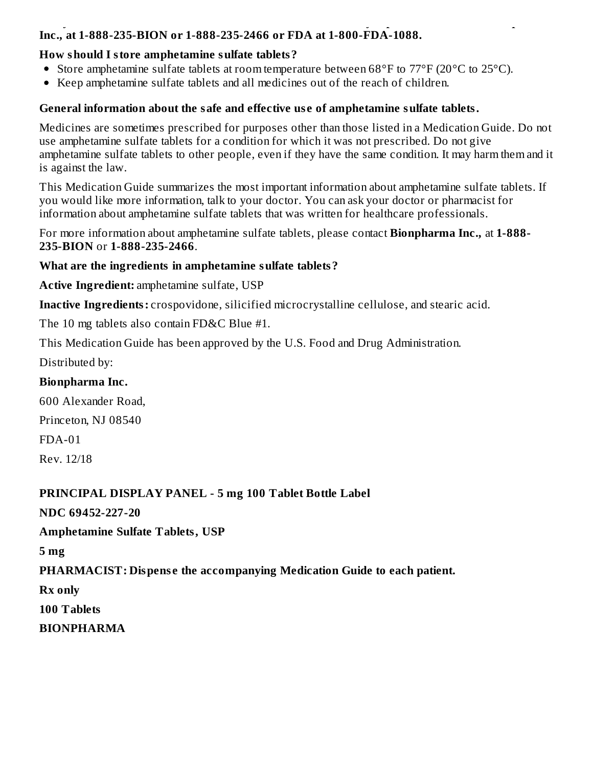#### **Call your doctor for medical advice about side effects. You may report side effects to Bionpharma Inc., at 1-888-235-BION or 1-888-235-2466 or FDA at 1-800-FDA-1088.**

#### **How should I store amphetamine sulfate tablets?**

- Store amphetamine sulfate tablets at room temperature between 68°F to 77°F (20°C to 25°C).
- Keep amphetamine sulfate tablets and all medicines out of the reach of children.

#### **General information about the safe and effective us e of amphetamine sulfate tablets.**

Medicines are sometimes prescribed for purposes other than those listed in a Medication Guide. Do not use amphetamine sulfate tablets for a condition for which it was not prescribed. Do not give amphetamine sulfate tablets to other people, even if they have the same condition. It may harm them and it is against the law.

This Medication Guide summarizes the most important information about amphetamine sulfate tablets. If you would like more information, talk to your doctor. You can ask your doctor or pharmacist for information about amphetamine sulfate tablets that was written for healthcare professionals.

For more information about amphetamine sulfate tablets, please contact **Bionpharma Inc.,** at **1-888- 235-BION** or **1-888-235-2466**.

## **What are the ingredients in amphetamine sulfate tablets?**

**Active Ingredient:** amphetamine sulfate, USP

**Inactive Ingredients:** crospovidone, silicified microcrystalline cellulose, and stearic acid.

The 10 mg tablets also contain FD&C Blue #1.

This Medication Guide has been approved by the U.S. Food and Drug Administration. Distributed by:

## **Bionpharma Inc.**

600 Alexander Road, Princeton, NJ 08540 FDA-01 Rev. 12/18

## **PRINCIPAL DISPLAY PANEL - 5 mg 100 Tablet Bottle Label**

**NDC 69452-227-20**

**Amphetamine Sulfate Tablets, USP**

**5 mg**

**PHARMACIST: Dispens e the accompanying Medication Guide to each patient.**

**Rx only**

**100 Tablets**

**BIONPHARMA**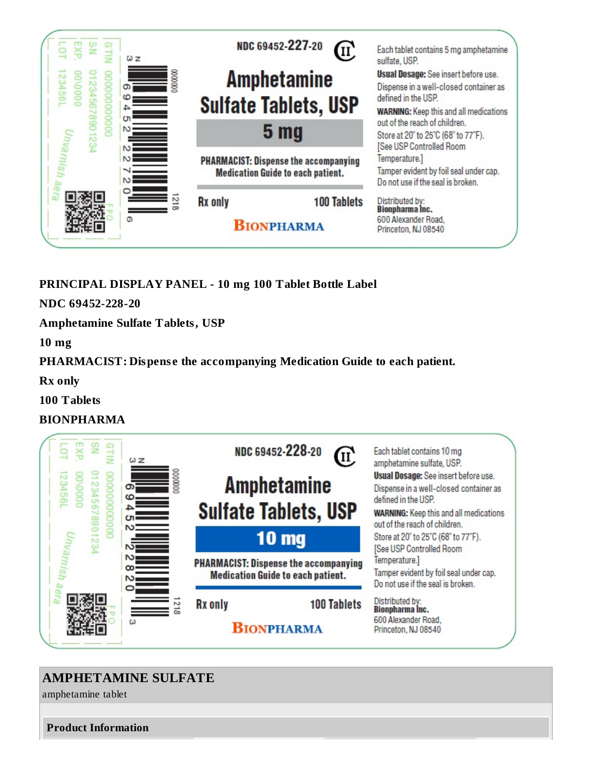

**PRINCIPAL DISPLAY PANEL - 10 mg 100 Tablet Bottle Label**

**NDC 69452-228-20**

**Amphetamine Sulfate Tablets, USP**

**10 mg**

**PHARMACIST: Dispens e the accompanying Medication Guide to each patient.**

**Rx only**

**100 Tablets**

#### **BIONPHARMA**



## **AMPHETAMINE SULFATE**

amphetamine tablet

**Product Information**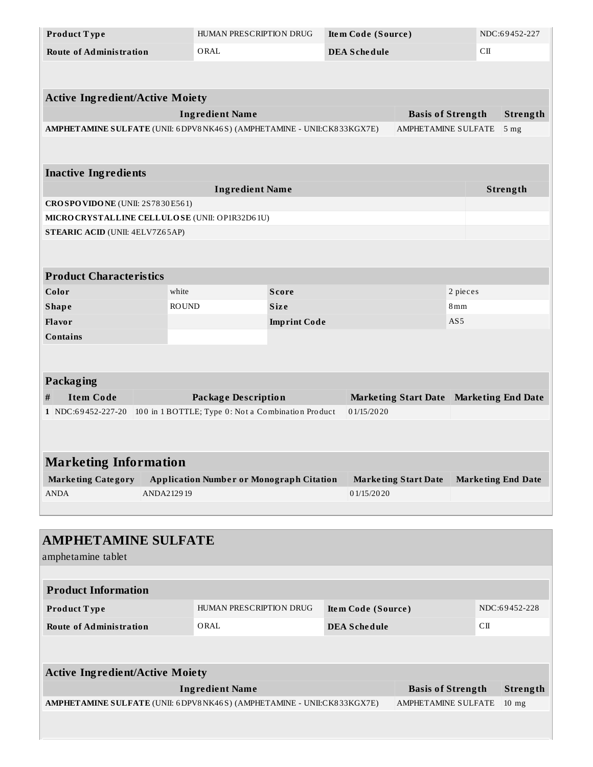| <b>Route of Administration</b><br><b>DEA Schedule</b><br>C <sub>II</sub><br>ORAL<br><b>Active Ingredient/Active Moiety</b><br><b>Ingredient Name</b><br><b>Basis of Strength</b><br>Strength<br>AMPHETAMINE SULFATE (UNII: 6DPV8NK46S) (AMPHETAMINE - UNII:CK833KGX7E)<br>AMPHETAMINE SULFATE<br>5 <sub>mg</sub><br><b>Inactive Ingredients</b><br><b>Ingredient Name</b><br>Strength<br>CROSPOVIDONE (UNII: 2S7830E561)<br>MICRO CRYSTALLINE CELLULOSE (UNII: OP1R32D61U)<br><b>STEARIC ACID (UNII: 4ELV7Z65AP)</b><br><b>Product Characteristics</b><br>Color<br>white<br><b>Score</b><br>2 pieces<br><b>Shape</b><br><b>ROUND</b><br>Size<br>8 <sub>mm</sub><br>AS <sub>5</sub><br><b>Flavor</b><br><b>Imprint Code</b><br><b>Contains</b><br><b>Item Code</b><br><b>Package Description</b><br><b>Marketing Start Date</b><br><b>Marketing End Date</b><br>#<br>100 in 1 BOTTLE; Type 0: Not a Combination Product<br>01/15/2020<br>1 NDC:69452-227-20<br><b>Marketing Information</b><br><b>Marketing Category</b><br><b>Application Number or Monograph Citation</b><br><b>Marketing Start Date</b><br><b>Marketing End Date</b><br><b>ANDA</b><br>ANDA212919<br>01/15/2020<br><b>AMPHETAMINE SULFATE</b><br>amphetamine tablet<br><b>Product Information</b><br>Product Type<br>HUMAN PRESCRIPTION DRUG<br>Item Code (Source)<br>NDC:69452-228<br><b>Route of Administration</b><br>C <sub>II</sub><br>ORAL<br><b>DEA Schedule</b><br><b>Active Ingredient/Active Moiety</b><br><b>Ingredient Name</b><br><b>Basis of Strength</b><br>Strength | Product Type |  | HUMAN PRESCRIPTION DRUG<br>Item Code (Source) |  |  |  | NDC:69452-227 |  |  |  |
|-------------------------------------------------------------------------------------------------------------------------------------------------------------------------------------------------------------------------------------------------------------------------------------------------------------------------------------------------------------------------------------------------------------------------------------------------------------------------------------------------------------------------------------------------------------------------------------------------------------------------------------------------------------------------------------------------------------------------------------------------------------------------------------------------------------------------------------------------------------------------------------------------------------------------------------------------------------------------------------------------------------------------------------------------------------------------------------------------------------------------------------------------------------------------------------------------------------------------------------------------------------------------------------------------------------------------------------------------------------------------------------------------------------------------------------------------------------------------------------------------------------------------------------------------------|--------------|--|-----------------------------------------------|--|--|--|---------------|--|--|--|
|                                                                                                                                                                                                                                                                                                                                                                                                                                                                                                                                                                                                                                                                                                                                                                                                                                                                                                                                                                                                                                                                                                                                                                                                                                                                                                                                                                                                                                                                                                                                                       |              |  |                                               |  |  |  |               |  |  |  |
|                                                                                                                                                                                                                                                                                                                                                                                                                                                                                                                                                                                                                                                                                                                                                                                                                                                                                                                                                                                                                                                                                                                                                                                                                                                                                                                                                                                                                                                                                                                                                       |              |  |                                               |  |  |  |               |  |  |  |
|                                                                                                                                                                                                                                                                                                                                                                                                                                                                                                                                                                                                                                                                                                                                                                                                                                                                                                                                                                                                                                                                                                                                                                                                                                                                                                                                                                                                                                                                                                                                                       |              |  |                                               |  |  |  |               |  |  |  |
|                                                                                                                                                                                                                                                                                                                                                                                                                                                                                                                                                                                                                                                                                                                                                                                                                                                                                                                                                                                                                                                                                                                                                                                                                                                                                                                                                                                                                                                                                                                                                       |              |  |                                               |  |  |  |               |  |  |  |
|                                                                                                                                                                                                                                                                                                                                                                                                                                                                                                                                                                                                                                                                                                                                                                                                                                                                                                                                                                                                                                                                                                                                                                                                                                                                                                                                                                                                                                                                                                                                                       |              |  |                                               |  |  |  |               |  |  |  |
|                                                                                                                                                                                                                                                                                                                                                                                                                                                                                                                                                                                                                                                                                                                                                                                                                                                                                                                                                                                                                                                                                                                                                                                                                                                                                                                                                                                                                                                                                                                                                       |              |  |                                               |  |  |  |               |  |  |  |
|                                                                                                                                                                                                                                                                                                                                                                                                                                                                                                                                                                                                                                                                                                                                                                                                                                                                                                                                                                                                                                                                                                                                                                                                                                                                                                                                                                                                                                                                                                                                                       |              |  |                                               |  |  |  |               |  |  |  |
|                                                                                                                                                                                                                                                                                                                                                                                                                                                                                                                                                                                                                                                                                                                                                                                                                                                                                                                                                                                                                                                                                                                                                                                                                                                                                                                                                                                                                                                                                                                                                       |              |  |                                               |  |  |  |               |  |  |  |
|                                                                                                                                                                                                                                                                                                                                                                                                                                                                                                                                                                                                                                                                                                                                                                                                                                                                                                                                                                                                                                                                                                                                                                                                                                                                                                                                                                                                                                                                                                                                                       |              |  |                                               |  |  |  |               |  |  |  |
|                                                                                                                                                                                                                                                                                                                                                                                                                                                                                                                                                                                                                                                                                                                                                                                                                                                                                                                                                                                                                                                                                                                                                                                                                                                                                                                                                                                                                                                                                                                                                       |              |  |                                               |  |  |  |               |  |  |  |
|                                                                                                                                                                                                                                                                                                                                                                                                                                                                                                                                                                                                                                                                                                                                                                                                                                                                                                                                                                                                                                                                                                                                                                                                                                                                                                                                                                                                                                                                                                                                                       |              |  |                                               |  |  |  |               |  |  |  |
|                                                                                                                                                                                                                                                                                                                                                                                                                                                                                                                                                                                                                                                                                                                                                                                                                                                                                                                                                                                                                                                                                                                                                                                                                                                                                                                                                                                                                                                                                                                                                       |              |  |                                               |  |  |  |               |  |  |  |
|                                                                                                                                                                                                                                                                                                                                                                                                                                                                                                                                                                                                                                                                                                                                                                                                                                                                                                                                                                                                                                                                                                                                                                                                                                                                                                                                                                                                                                                                                                                                                       |              |  |                                               |  |  |  |               |  |  |  |
|                                                                                                                                                                                                                                                                                                                                                                                                                                                                                                                                                                                                                                                                                                                                                                                                                                                                                                                                                                                                                                                                                                                                                                                                                                                                                                                                                                                                                                                                                                                                                       |              |  |                                               |  |  |  |               |  |  |  |
|                                                                                                                                                                                                                                                                                                                                                                                                                                                                                                                                                                                                                                                                                                                                                                                                                                                                                                                                                                                                                                                                                                                                                                                                                                                                                                                                                                                                                                                                                                                                                       |              |  |                                               |  |  |  |               |  |  |  |
|                                                                                                                                                                                                                                                                                                                                                                                                                                                                                                                                                                                                                                                                                                                                                                                                                                                                                                                                                                                                                                                                                                                                                                                                                                                                                                                                                                                                                                                                                                                                                       |              |  |                                               |  |  |  |               |  |  |  |
|                                                                                                                                                                                                                                                                                                                                                                                                                                                                                                                                                                                                                                                                                                                                                                                                                                                                                                                                                                                                                                                                                                                                                                                                                                                                                                                                                                                                                                                                                                                                                       |              |  |                                               |  |  |  |               |  |  |  |
|                                                                                                                                                                                                                                                                                                                                                                                                                                                                                                                                                                                                                                                                                                                                                                                                                                                                                                                                                                                                                                                                                                                                                                                                                                                                                                                                                                                                                                                                                                                                                       |              |  |                                               |  |  |  |               |  |  |  |
|                                                                                                                                                                                                                                                                                                                                                                                                                                                                                                                                                                                                                                                                                                                                                                                                                                                                                                                                                                                                                                                                                                                                                                                                                                                                                                                                                                                                                                                                                                                                                       |              |  |                                               |  |  |  |               |  |  |  |
|                                                                                                                                                                                                                                                                                                                                                                                                                                                                                                                                                                                                                                                                                                                                                                                                                                                                                                                                                                                                                                                                                                                                                                                                                                                                                                                                                                                                                                                                                                                                                       |              |  |                                               |  |  |  |               |  |  |  |
|                                                                                                                                                                                                                                                                                                                                                                                                                                                                                                                                                                                                                                                                                                                                                                                                                                                                                                                                                                                                                                                                                                                                                                                                                                                                                                                                                                                                                                                                                                                                                       | Packaging    |  |                                               |  |  |  |               |  |  |  |
|                                                                                                                                                                                                                                                                                                                                                                                                                                                                                                                                                                                                                                                                                                                                                                                                                                                                                                                                                                                                                                                                                                                                                                                                                                                                                                                                                                                                                                                                                                                                                       |              |  |                                               |  |  |  |               |  |  |  |
|                                                                                                                                                                                                                                                                                                                                                                                                                                                                                                                                                                                                                                                                                                                                                                                                                                                                                                                                                                                                                                                                                                                                                                                                                                                                                                                                                                                                                                                                                                                                                       |              |  |                                               |  |  |  |               |  |  |  |
|                                                                                                                                                                                                                                                                                                                                                                                                                                                                                                                                                                                                                                                                                                                                                                                                                                                                                                                                                                                                                                                                                                                                                                                                                                                                                                                                                                                                                                                                                                                                                       |              |  |                                               |  |  |  |               |  |  |  |
|                                                                                                                                                                                                                                                                                                                                                                                                                                                                                                                                                                                                                                                                                                                                                                                                                                                                                                                                                                                                                                                                                                                                                                                                                                                                                                                                                                                                                                                                                                                                                       |              |  |                                               |  |  |  |               |  |  |  |
|                                                                                                                                                                                                                                                                                                                                                                                                                                                                                                                                                                                                                                                                                                                                                                                                                                                                                                                                                                                                                                                                                                                                                                                                                                                                                                                                                                                                                                                                                                                                                       |              |  |                                               |  |  |  |               |  |  |  |
|                                                                                                                                                                                                                                                                                                                                                                                                                                                                                                                                                                                                                                                                                                                                                                                                                                                                                                                                                                                                                                                                                                                                                                                                                                                                                                                                                                                                                                                                                                                                                       |              |  |                                               |  |  |  |               |  |  |  |
|                                                                                                                                                                                                                                                                                                                                                                                                                                                                                                                                                                                                                                                                                                                                                                                                                                                                                                                                                                                                                                                                                                                                                                                                                                                                                                                                                                                                                                                                                                                                                       |              |  |                                               |  |  |  |               |  |  |  |
|                                                                                                                                                                                                                                                                                                                                                                                                                                                                                                                                                                                                                                                                                                                                                                                                                                                                                                                                                                                                                                                                                                                                                                                                                                                                                                                                                                                                                                                                                                                                                       |              |  |                                               |  |  |  |               |  |  |  |
|                                                                                                                                                                                                                                                                                                                                                                                                                                                                                                                                                                                                                                                                                                                                                                                                                                                                                                                                                                                                                                                                                                                                                                                                                                                                                                                                                                                                                                                                                                                                                       |              |  |                                               |  |  |  |               |  |  |  |
|                                                                                                                                                                                                                                                                                                                                                                                                                                                                                                                                                                                                                                                                                                                                                                                                                                                                                                                                                                                                                                                                                                                                                                                                                                                                                                                                                                                                                                                                                                                                                       |              |  |                                               |  |  |  |               |  |  |  |
|                                                                                                                                                                                                                                                                                                                                                                                                                                                                                                                                                                                                                                                                                                                                                                                                                                                                                                                                                                                                                                                                                                                                                                                                                                                                                                                                                                                                                                                                                                                                                       |              |  |                                               |  |  |  |               |  |  |  |
|                                                                                                                                                                                                                                                                                                                                                                                                                                                                                                                                                                                                                                                                                                                                                                                                                                                                                                                                                                                                                                                                                                                                                                                                                                                                                                                                                                                                                                                                                                                                                       |              |  |                                               |  |  |  |               |  |  |  |
|                                                                                                                                                                                                                                                                                                                                                                                                                                                                                                                                                                                                                                                                                                                                                                                                                                                                                                                                                                                                                                                                                                                                                                                                                                                                                                                                                                                                                                                                                                                                                       |              |  |                                               |  |  |  |               |  |  |  |
|                                                                                                                                                                                                                                                                                                                                                                                                                                                                                                                                                                                                                                                                                                                                                                                                                                                                                                                                                                                                                                                                                                                                                                                                                                                                                                                                                                                                                                                                                                                                                       |              |  |                                               |  |  |  |               |  |  |  |
|                                                                                                                                                                                                                                                                                                                                                                                                                                                                                                                                                                                                                                                                                                                                                                                                                                                                                                                                                                                                                                                                                                                                                                                                                                                                                                                                                                                                                                                                                                                                                       |              |  |                                               |  |  |  |               |  |  |  |
|                                                                                                                                                                                                                                                                                                                                                                                                                                                                                                                                                                                                                                                                                                                                                                                                                                                                                                                                                                                                                                                                                                                                                                                                                                                                                                                                                                                                                                                                                                                                                       |              |  |                                               |  |  |  |               |  |  |  |
|                                                                                                                                                                                                                                                                                                                                                                                                                                                                                                                                                                                                                                                                                                                                                                                                                                                                                                                                                                                                                                                                                                                                                                                                                                                                                                                                                                                                                                                                                                                                                       |              |  |                                               |  |  |  |               |  |  |  |
|                                                                                                                                                                                                                                                                                                                                                                                                                                                                                                                                                                                                                                                                                                                                                                                                                                                                                                                                                                                                                                                                                                                                                                                                                                                                                                                                                                                                                                                                                                                                                       |              |  |                                               |  |  |  |               |  |  |  |
| AMPHETAMINE SULFATE (UNII: 6DPV8NK46S) (AMPHETAMINE - UNII:CK833KGX7E)<br>AMPHETAMINE SULFATE<br>$10$ mg                                                                                                                                                                                                                                                                                                                                                                                                                                                                                                                                                                                                                                                                                                                                                                                                                                                                                                                                                                                                                                                                                                                                                                                                                                                                                                                                                                                                                                              |              |  |                                               |  |  |  |               |  |  |  |